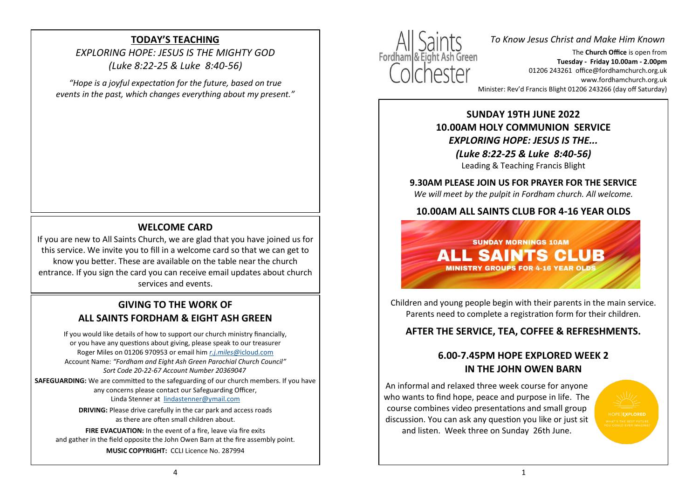# **TODAY'S TEACHING**

*EXPLORING HOPE: JESUS IS THE MIGHTY GOD (Luke 8:22-25 & Luke 8:40-56)*

*"Hope is a joyful expectation for the future, based on true events in the past, which changes everything about my present."*

# **WELCOME CARD**

If you are new to All Saints Church, we are glad that you have joined us for this service. We invite you to fill in a welcome card so that we can get to know you better. These are available on the table near the church entrance. If you sign the card you can receive email updates about church services and events.

# **GIVING TO THE WORK OF ALL SAINTS FORDHAM & EIGHT ASH GREEN**

If you would like details of how to support our church ministry financially, or you have any questions about giving, please speak to our treasurer Roger Miles on 01206 970953 or email him *r.j.miles@*[icloud.com](mailto:r.j.miles@icloud.com) Account Name: *"Fordham and Eight Ash Green Parochial Church Council" Sort Code 20-22-67 Account Number 20369047* **SAFEGUARDING:** We are committed to the safeguarding of our church members. If you have

any concerns please contact our Safeguarding Officer, Linda Stenner at [lindastenner@ymail.com](mailto:lindastenner@ymail.com)

**DRIVING:** Please drive carefully in the car park and access roads as there are often small children about.

**FIRE EVACUATION:** In the event of a fire, leave via fire exits and gather in the field opposite the John Owen Barn at the fire assembly point. **MUSIC COPYRIGHT:** CCLI Licence No. 287994



*To Know Jesus Christ and Make Him Known*

The **Church Office** is open from **Tuesday - Friday 10.00am - 2.00pm** 01206 243261 office@fordhamchurch.org.uk [www.fordhamchurch.org.uk](http://www.fordhamchurch.org.uk) Minister: Rev'd Francis Blight 01206 243266 (day off Saturday)

**SUNDAY 19TH JUNE 2022 10.00AM HOLY COMMUNION SERVICE** *EXPLORING HOPE: JESUS IS THE... (Luke 8:22-25 & Luke 8:40-56)* Leading & Teaching Francis Blight

### **9.30AM PLEASE JOIN US FOR PRAYER FOR THE SERVICE**

*We will meet by the pulpit in Fordham church. All welcome.*

### **10.00AM ALL SAINTS CLUB FOR 4-16 YEAR OLDS**



Children and young people begin with their parents in the main service. Parents need to complete a registration form for their children.

## **AFTER THE SERVICE, TEA, COFFEE & REFRESHMENTS.**

# **6.00-7.45PM HOPE EXPLORED WEEK 2 IN THE JOHN OWEN BARN**

An informal and relaxed three week course for anyone who wants to find hope, peace and purpose in life. The course combines video presentations and small group discussion. You can ask any question you like or just sit and listen.Week three on Sunday 26th June.